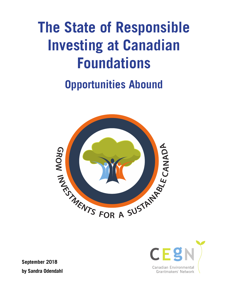## **The State of Responsible Investing at Canadian Foundations**

## **Opportunities Abound**





**September 2018 by Sandra Odendahl**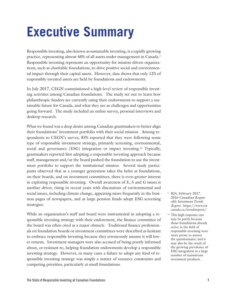## **Executive Summary**

Responsible investing, also known as sustainable investing, is a rapidly growing practice, representing almost 40% of all assets under management in Canada.<sup>1</sup> Responsible investing represents an opportunity for mission-driven organizations, such as charitable foundations, to drive positive social and environmental impact through their capital assets. However, data shows that only 12% of responsibly invested assets are held by foundations and endowments.

In July 2017, CEGN commissioned a high-level review of responsible investing activities among Canadian foundations. The study set out to learn how philanthropic funders are currently using their endowments to support a sustainable future for Canada, and what they see as challenges and opportunities going forward. The study included an online survey, personal interviews and desktop research.

What we found was a deep desire among Canadian grantmakers to better align their foundations' investment portfolio with their social mission. Among respondents to CEGN's survey, 83% reported that they were following some type of responsible investment strategy, primarily screening, environmental, social and governance (ESG) integration or impact investing.<sup>1a</sup> Typically, grantmakers reported first adopting a responsible investing approach because staff, management and/or the board pushed the foundation to use the investment portfolio to support the institutional mission. Several study participants observed that as a younger generation takes the helm at foundations, on their boards, and on investment committees, there is even greater interest in exploring responsible investing. Overall awareness of E, S and G issues is another driver, rising in recent years with discussions of environmental and social issues, including climate change, appearing more frequently in the business pages of newspapers, and as large pension funds adopt ESG screening strategies.

While an organization's staff and board were instrumental in adopting a responsible investing strategy with their endowment, the finance committee of the board was often cited as a major obstacle. Traditional finance professionals on foundation boards or investment committees were described as hesitant to embrace responsible investing because they erroneously assume it will lower returns. Investment managers were also accused of being poorly informed about, or resistant to, helping foundation endowments develop a responsible investing strategy. However, in many cases a failure to adopt any kind of responsible investing strategy was simply a matter of resource constraints and competing priorities, particularly at small foundations.

- <sup>1</sup> RIA. February 2017. 2016 *Canadian Responsible Investment Trends Report*. [https://www.ria](https://www.riacanada.ca/trendsreport/)[canada.ca/trendsreport/](https://www.riacanada.ca/trendsreport/)
- <sup>1a</sup> This high response rate may be partly because those foundations already active in the field of responsible investing were more prone to answer the questionnaire; and it may also be the result of the growing prevalence of ESG integration in a large number of mainstream investment products.